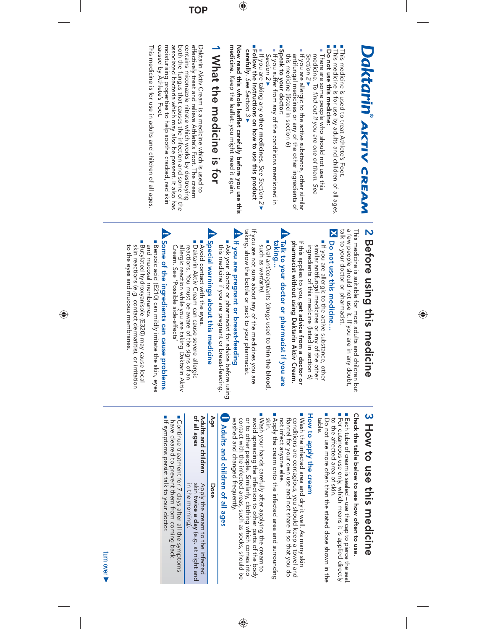# Daktarin AKTIV CREAM *AKTIV CREAM*

■ ■ This medicine is used to treat Athlete's Foot.

- This medicine is for use by adults and children of all ages. ■ Do not use this medicine: **Do not use this medicine:**
- **There are some people who should not use this**<br>medicine. To find out if you are one of them. See medicine. There are some people who should not use this To find out if you are one of them. See Section 2 Section 2
- $\blacksquare$  If you are allergic to the active substance, other similar antifungal medicines or any of the other ingredients of this medicine (listed in section 6) this medicine (listed in section 6) antifungal medicines or any of the other ingredients of If you are allergic to the active substance, other similar
- Beak to your doctor: ■ If you suffer from any of the conditions mentioned in **Speak to your doctor:** Section 2 If you suffer from any of the conditions mentioned in Section 2▶
- If you are taking any **other medicines**. See Section 2 v ■ **Follow the instructions on how to use this product**

Now read this whole leaflet carefully before you use this medicine. Keep the leatlet: you might need it again. **medicine. Now read this whole leaflet carefully before you use this carefully** . Keep the leaflet: you might need it again. See Section 3  $\blacktriangledown$ 

 $\bigoplus$ 

# **1 What the medicine is for** What the medicine is for

**TOP**

moisturising properties to help soothe cracked, red skin<br>caused by Athlete's Foot. associated bacteria which may also be present. It also has both the fungus that causes the infection and some of the contains miconazole nitrate which works by destroying effectively treat and relieve Athlete's Foot. The cream Daktarin Aktiv Cream is a medicine which is used to caused by Athlete's Foot. moisturising properties to help soothe cracked, red skin associated bacteria which may also be present. It also has both the fungus that causes the infection and some of the contains miconazole nitrate which works by destroying effectively treat and relieve Athlete's Foot. The cream Daktarin Aktiv Cream is a medicine which is used to

This medicine is for use in adults and children of all ages This medicine is for use in adults and children of all ages.

# 2 Before using this medicine **2 Before using this medicine**

 $\bigcirc$ 

talk to your doctor or pharmacist. a few people should not use it. If you are in any doubt, talk to your doctor or pharmacist. a few people should not use it. If you are in any doubt, This medicine is suitable for most adults and children but This medicine is suitable for most addlts and children but

## No not use this medicine... **Do not use this medicine…**

- It you are allergic to the active substance, other ingredients of this medicine (listed in section 6) similar antifungal medicines or any of the other ingredients of this medicine (listed in section 6) similar antifungal medicines or any of the other If you are allergic to the active substance, other
- pharmacist without using Daktarin Aktiv Cream. If this applies to you, get advice from a doctor or **pharmacist without using Daktarin Aktiv Cream**If this applies to you, **get advice from a doctor or**
- A Talk to your doctor or pharmacist if you are taking... **taking… Talk to your doctor or pharmacist if you are**
- Oral anticoagulants (drugs used to thin the blood Oral anticoagulants (drugs used to **thin the blood**such as warfarin).

,

If you are not sure about any of the medicines you are<br>taking, show the bottle or pack to your pharmacist. taking, show the bottle or pack to your pharmacist. If you are not sure about any of the medicines you are

# A If you are pregnant or breast-feeding **If you are pregnant or breast-feeding**

■ Ask your doctor or pharmacist for advice before using<br>this medicine if you are pregnant or breast-feeding. this medicine if you are pregnant or breast-feeding. Ask your doctor or pharmacist for advice before using

# **B** Special warnings about this medicine **Special warnings about this medicine**

■ Avoid contact with the eyes. Avoid contact with the eyes. ■ Daktarin Aktiv Cream can cause severe allergic<br>reactions. You must be aware of the signs of an<br>allergic reaction while you are taking Daktarin Aktiv<br>Cream. See 'Possible side-effects' Cream. See 'Possible side-effects' allergic reaction while you are taking Daktarin Aktiv reactions. You must be aware of the signs of an Daktarin Aktiv Cream can cause severe allergic

# Some of the ingredients can cause problems **Some of the ingredients can cause problems**

- Butylated hydroxyanisole (E320) may cause local ■ Benzoic acid (E210) can mildly irritate the skin, eyes and mucosal membranes Butylated hydroxyanisole (E320) may cause local and mucosal membranes. Benzoic acid (E210) can mildly irritate the skin, eyes
- to the eyes and mucous membranes skin reactions (e.g. contact dermatitis), or irritation to the eyes and mucous membranes. skin reactions (e.g. contact dermatitis), or irritation

# **SHOW to use this medicine 3 How to use this medicine**

Check the table below to see how often to use. **Check the table below to see how often to use.**

■ ■ to the affected area of skin. to the affected area of skin. For cutaneous use only, which means it is applied directly Each tube of cream is sealed – use the cap to pierce the seal.

■Do not use more offen than the stated dose shown in the table. Do not use more often than the stated dose shown in the

#### How to apply the cream **How to apply the cream**

- Wash the infected area and dry it well. As many skin<br>conditions are contagious, you should keep a towel and not infect anyone else. flannel for your own use and not share it so that you do not infect anyone else. flannel for your own use and not share it so that you do conditions are contagious, you should keep a towel and Wash the infected area and dry it well. As many skin
- Apply the cream onto the infected area and surrounding skin. Apply the cream onto the infected area and surrounding
- Wash your hands carefully after applying the cream to avoid spreading the infection to other parts of the body<br>or to other people, Similarly, clothing which comes into avoid spreading the infection to other parts of the body Wash your hands carefully after applying the cream to

washed and changed frequently. contact with the infected areas, such as socks, should be washed and changed frequently. contact with the infected areas, such as socks, should be or to other people. Similarly, clothing which comes into

⊕

# **Adults and children of all ages**

| Age                                | Dose                                                                                       |
|------------------------------------|--------------------------------------------------------------------------------------------|
| of all ages<br>Adults and children | skin twice a day (e.g. at night and<br>in the morning).<br>Apply the cream to the infected |

■ Continue treatment for 7 days after all the symptoms<br>have cleared to prevent them from coming back. have cleared to prevent them from coming back. Continue treatment for 7 days after all the symptoms **If symptoms persist talk to your doctor** If symptoms persist talk to your doctor.

turn over turn over